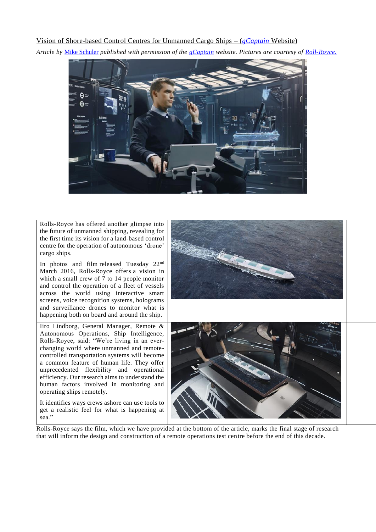## Vision of Shore-based Control Centres for Unmanned Cargo Ships – (*[gCaptain](http://gcaptain.com/)* Website)

*Article by* [Mike Schuler](http://gcaptain.com/author/mike/) *published with permission of the [gCaptain](http://gcaptain.com/) website. Pictures are courtesy of [Roll-Royce.](http://www.rolls-royce.com/products-and-services/marine.aspx)*



Rolls-Royce has offered another glimpse into the future of unmanned shipping, revealing for the first time its vision for a land-based control centre for the operation of autonomous 'drone' cargo ships.

In photos and film released Tuesday 22nd March 2016, Rolls-Royce offers a vision in which a small crew of 7 to 14 people monitor and control the operation of a fleet of vessels across the world using interactive smart screens, voice recognition systems, holograms and surveillance drones to monitor what is happening both on board and around the ship.

Iiro Lindborg, General Manager, Remote & Autonomous Operations, Ship Intelligence, Rolls-Royce, said: "We're living in an everchanging world where unmanned and remotecontrolled transportation systems will become a common feature of human life. They offer unprecedented flexibility and operational efficiency. Our research aims to understand the human factors involved in monitoring and operating ships remotely.

It identifies ways crews ashore can use tools to get a realistic feel for what is happening at sea."



Rolls-Royce says the film, which we have provided at the bottom of the article, marks the final stage of research that will inform the design and construction of a remote operations test centre before the end of this decade.